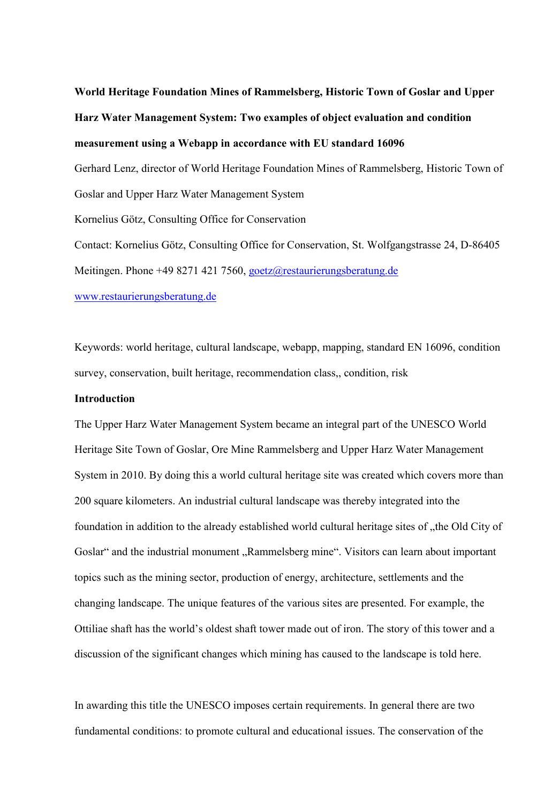# **World Heritage Foundation Mines of Rammelsberg, Historic Town of Goslar and Upper Harz Water Management System: Two examples of object evaluation and condition measurement using a Webapp in accordance with EU standard 16096**  Gerhard Lenz, director of World Heritage Foundation Mines of Rammelsberg, Historic Town of Goslar and Upper Harz Water Management System Kornelius Götz, Consulting Office for Conservation Contact: Kornelius Götz, Consulting Office for Conservation, St. Wolfgangstrasse 24, D-86405 Meitingen. Phone +49 8271 421 7560, [goetz@restaurierungsberatung.de](mailto:goetz@restaurierungsberatung.de) [www.restaurierungsberatung.de](http://www.restaurierungsberatung.de/)

Keywords: world heritage, cultural landscape, webapp, mapping, standard EN 16096, condition survey, conservation, built heritage, recommendation class,, condition, risk

#### **Introduction**

The Upper Harz Water Management System became an integral part of the UNESCO World Heritage Site Town of Goslar, Ore Mine Rammelsberg and Upper Harz Water Management System in 2010. By doing this a world cultural heritage site was created which covers more than 200 square kilometers. An industrial cultural landscape was thereby integrated into the foundation in addition to the already established world cultural heritage sites of "the Old City of Goslar" and the industrial monument "Rammelsberg mine". Visitors can learn about important topics such as the mining sector, production of energy, architecture, settlements and the changing landscape. The unique features of the various sites are presented. For example, the Ottiliae shaft has the world's oldest shaft tower made out of iron. The story of this tower and a discussion of the significant changes which mining has caused to the landscape is told here.

In awarding this title the UNESCO imposes certain requirements. In general there are two fundamental conditions: to promote cultural and educational issues. The conservation of the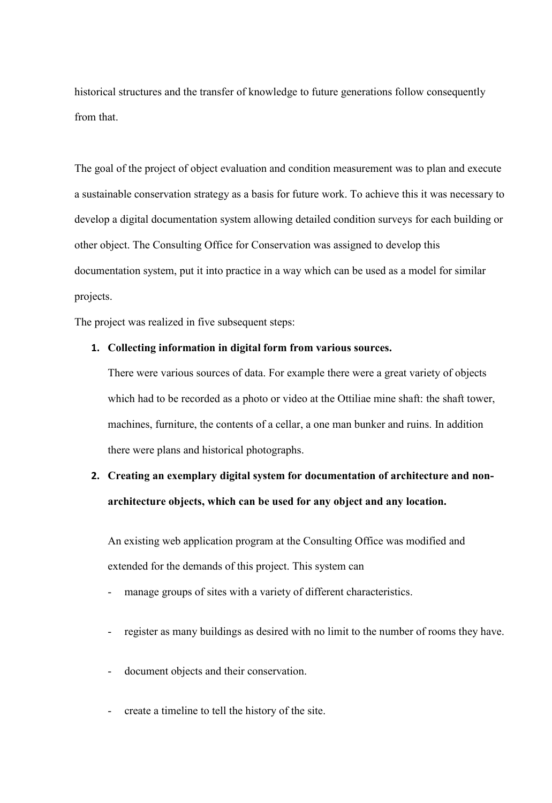historical structures and the transfer of knowledge to future generations follow consequently from that.

The goal of the project of object evaluation and condition measurement was to plan and execute a sustainable conservation strategy as a basis for future work. To achieve this it was necessary to develop a digital documentation system allowing detailed condition surveys for each building or other object. The Consulting Office for Conservation was assigned to develop this documentation system, put it into practice in a way which can be used as a model for similar projects.

The project was realized in five subsequent steps:

#### **1. Collecting information in digital form from various sources.**

There were various sources of data. For example there were a great variety of objects which had to be recorded as a photo or video at the Ottiliae mine shaft: the shaft tower, machines, furniture, the contents of a cellar, a one man bunker and ruins. In addition there were plans and historical photographs.

### **2. Creating an exemplary digital system for documentation of architecture and nonarchitecture objects, which can be used for any object and any location.**

An existing web application program at the Consulting Office was modified and extended for the demands of this project. This system can

- manage groups of sites with a variety of different characteristics.
- register as many buildings as desired with no limit to the number of rooms they have.
- document objects and their conservation.
- create a timeline to tell the history of the site.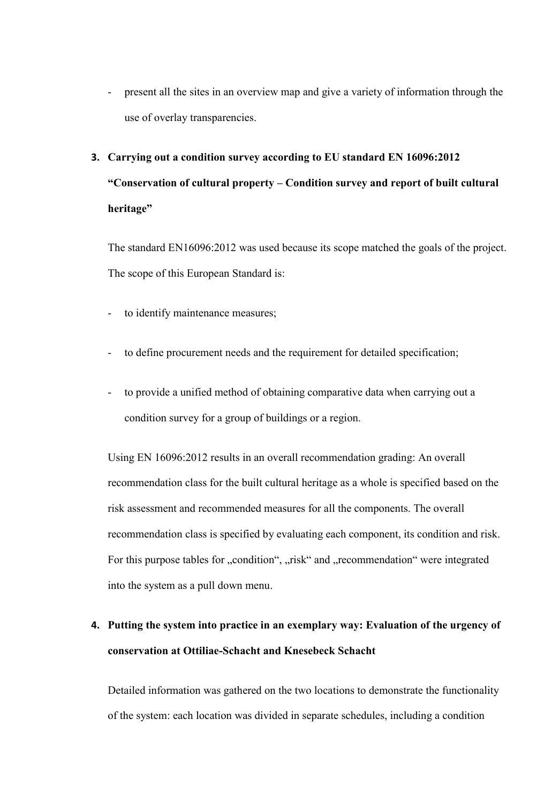present all the sites in an overview map and give a variety of information through the use of overlay transparencies.

## **3. Carrying out a condition survey according to EU standard EN 16096:2012 "Conservation of cultural property – Condition survey and report of built cultural heritage"**

The standard EN16096:2012 was used because its scope matched the goals of the project. The scope of this European Standard is:

- to identify maintenance measures;
- to define procurement needs and the requirement for detailed specification;
- to provide a unified method of obtaining comparative data when carrying out a condition survey for a group of buildings or a region.

Using EN 16096:2012 results in an overall recommendation grading: An overall recommendation class for the built cultural heritage as a whole is specified based on the risk assessment and recommended measures for all the components. The overall recommendation class is specified by evaluating each component, its condition and risk. For this purpose tables for "condition", "risk" and "recommendation" were integrated into the system as a pull down menu.

### **4. Putting the system into practice in an exemplary way: Evaluation of the urgency of conservation at Ottiliae-Schacht and Knesebeck Schacht**

Detailed information was gathered on the two locations to demonstrate the functionality of the system: each location was divided in separate schedules, including a condition